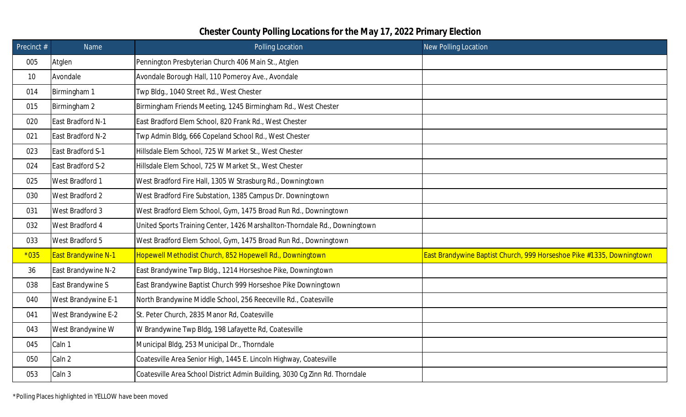| Precinct # | Name                       | Polling Location                                                            | <b>New Polling Location</b>                                           |
|------------|----------------------------|-----------------------------------------------------------------------------|-----------------------------------------------------------------------|
| 005        | Atglen                     | Pennington Presbyterian Church 406 Main St., Atglen                         |                                                                       |
| 10         | Avondale                   | Avondale Borough Hall, 110 Pomeroy Ave., Avondale                           |                                                                       |
| 014        | Birmingham 1               | Twp Bldg., 1040 Street Rd., West Chester                                    |                                                                       |
| 015        | Birmingham 2               | Birmingham Friends Meeting, 1245 Birmingham Rd., West Chester               |                                                                       |
| 020        | East Bradford N-1          | East Bradford Elem School, 820 Frank Rd., West Chester                      |                                                                       |
| 021        | East Bradford N-2          | Twp Admin Bldg, 666 Copeland School Rd., West Chester                       |                                                                       |
| 023        | East Bradford S-1          | Hillsdale Elem School, 725 W Market St., West Chester                       |                                                                       |
| 024        | East Bradford S-2          | Hillsdale Elem School, 725 W Market St., West Chester                       |                                                                       |
| 025        | West Bradford 1            | West Bradford Fire Hall, 1305 W Strasburg Rd., Downingtown                  |                                                                       |
| 030        | West Bradford 2            | West Bradford Fire Substation, 1385 Campus Dr. Downingtown                  |                                                                       |
| 031        | West Bradford 3            | West Bradford Elem School, Gym, 1475 Broad Run Rd., Downingtown             |                                                                       |
| 032        | West Bradford 4            | United Sports Training Center, 1426 Marshallton-Thorndale Rd., Downingtown  |                                                                       |
| 033        | West Bradford 5            | West Bradford Elem School, Gym, 1475 Broad Run Rd., Downingtown             |                                                                       |
| $*035$     | <b>East Brandywine N-1</b> | Hopewell Methodist Church, 852 Hopewell Rd., Downingtown                    | East Brandywine Baptist Church, 999 Horseshoe Pike #1335, Downingtown |
| 36         | East Brandywine N-2        | East Brandywine Twp Bldg., 1214 Horseshoe Pike, Downingtown                 |                                                                       |
| 038        | East Brandywine S          | East Brandywine Baptist Church 999 Horseshoe Pike Downingtown               |                                                                       |
| 040        | West Brandywine E-1        | North Brandywine Middle School, 256 Reeceville Rd., Coatesville             |                                                                       |
| 041        | West Brandywine E-2        | St. Peter Church, 2835 Manor Rd, Coatesville                                |                                                                       |
| 043        | West Brandywine W          | W Brandywine Twp Bldg, 198 Lafayette Rd, Coatesville                        |                                                                       |
| 045        | Caln 1                     | Municipal Bldg, 253 Municipal Dr., Thorndale                                |                                                                       |
| 050        | Caln <sub>2</sub>          | Coatesville Area Senior High, 1445 E. Lincoln Highway, Coatesville          |                                                                       |
| 053        | Caln 3                     | Coatesville Area School District Admin Building, 3030 Cg Zinn Rd. Thorndale |                                                                       |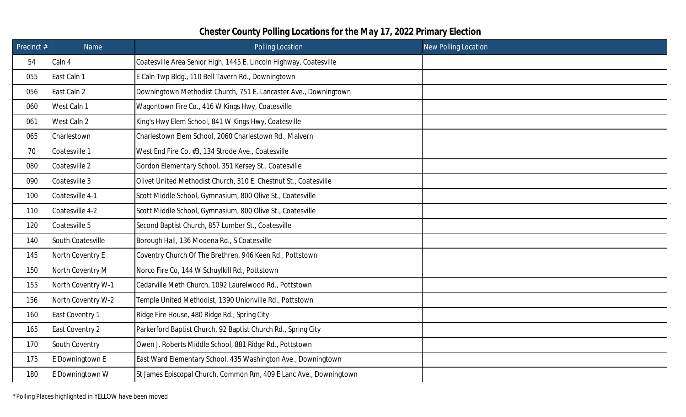| Precinct $#$ | Name               | Polling Location                                                   | <b>New Polling Location</b> |
|--------------|--------------------|--------------------------------------------------------------------|-----------------------------|
| 54           | Caln 4             | Coatesville Area Senior High, 1445 E. Lincoln Highway, Coatesville |                             |
| 055          | East Caln 1        | E Caln Twp Bldg., 110 Bell Tavern Rd., Downingtown                 |                             |
| 056          | East Caln 2        | Downingtown Methodist Church, 751 E. Lancaster Ave., Downingtown   |                             |
| 060          | West Caln 1        | Wagontown Fire Co., 416 W Kings Hwy, Coatesville                   |                             |
| 061          | West Caln 2        | King's Hwy Elem School, 841 W Kings Hwy, Coatesville               |                             |
| 065          | Charlestown        | Charlestown Elem School, 2060 Charlestown Rd., Malvern             |                             |
| 70           | Coatesville 1      | West End Fire Co. #3, 134 Strode Ave., Coatesville                 |                             |
| 080          | Coatesville 2      | Gordon Elementary School, 351 Kersey St., Coatesville              |                             |
| 090          | Coatesville 3      | Olivet United Methodist Church, 310 E. Chestnut St., Coatesville   |                             |
| 100          | Coatesville 4-1    | Scott Middle School, Gymnasium, 800 Olive St., Coatesville         |                             |
| 110          | Coatesville 4-2    | Scott Middle School, Gymnasium, 800 Olive St., Coatesville         |                             |
| 120          | Coatesville 5      | Second Baptist Church, 857 Lumber St., Coatesville                 |                             |
| 140          | South Coatesville  | Borough Hall, 136 Modena Rd., S Coatesville                        |                             |
| 145          | North Coventry E   | Coventry Church Of The Brethren, 946 Keen Rd., Pottstown           |                             |
| 150          | North Coventry M   | Norco Fire Co, 144 W Schuylkill Rd., Pottstown                     |                             |
| 155          | North Coventry W-1 | Cedarville Meth Church, 1092 Laurelwood Rd., Pottstown             |                             |
| 156          | North Coventry W-2 | Temple United Methodist, 1390 Unionville Rd., Pottstown            |                             |
| 160          | East Coventry 1    | Ridge Fire House, 480 Ridge Rd., Spring City                       |                             |
| 165          | East Coventry 2    | Parkerford Baptist Church, 92 Baptist Church Rd., Spring City      |                             |
| 170          | South Coventry     | Owen J. Roberts Middle School, 881 Ridge Rd., Pottstown            |                             |
| 175          | E Downingtown E    | East Ward Elementary School, 435 Washington Ave., Downingtown      |                             |
| 180          | E Downingtown W    | St James Episcopal Church, Common Rm, 409 E Lanc Ave., Downingtown |                             |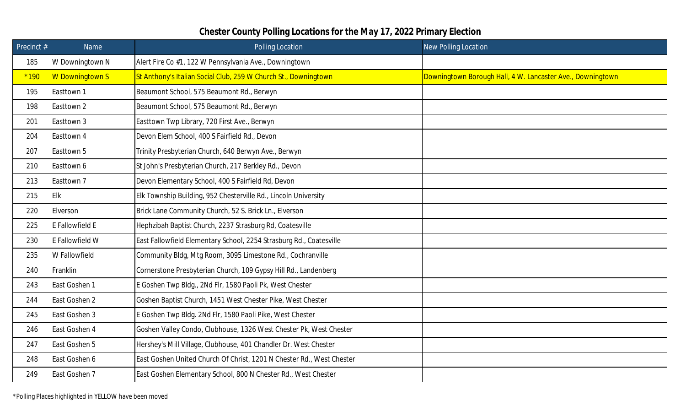| Precinct $#$ | Name                   | Polling Location                                                      | <b>New Polling Location</b>                                |
|--------------|------------------------|-----------------------------------------------------------------------|------------------------------------------------------------|
| 185          | W Downingtown N        | Alert Fire Co #1, 122 W Pennsylvania Ave., Downingtown                |                                                            |
| $*190$       | <b>W</b> Downingtown S | St Anthony's Italian Social Club, 259 W Church St., Downingtown       | Downingtown Borough Hall, 4 W. Lancaster Ave., Downingtown |
| 195          | Easttown 1             | Beaumont School, 575 Beaumont Rd., Berwyn                             |                                                            |
| 198          | Easttown 2             | Beaumont School, 575 Beaumont Rd., Berwyn                             |                                                            |
| 201          | Easttown 3             | Easttown Twp Library, 720 First Ave., Berwyn                          |                                                            |
| 204          | Easttown 4             | Devon Elem School, 400 S Fairfield Rd., Devon                         |                                                            |
| 207          | Easttown 5             | Trinity Presbyterian Church, 640 Berwyn Ave., Berwyn                  |                                                            |
| 210          | Easttown 6             | St John's Presbyterian Church, 217 Berkley Rd., Devon                 |                                                            |
| 213          | Easttown 7             | Devon Elementary School, 400 S Fairfield Rd, Devon                    |                                                            |
| 215          | <b>Elk</b>             | Elk Township Building, 952 Chesterville Rd., Lincoln University       |                                                            |
| 220          | Elverson               | Brick Lane Community Church, 52 S. Brick Ln., Elverson                |                                                            |
| 225          | E Fallowfield E        | Hephzibah Baptist Church, 2237 Strasburg Rd, Coatesville              |                                                            |
| 230          | E Fallowfield W        | East Fallowfield Elementary School, 2254 Strasburg Rd., Coatesville   |                                                            |
| 235          | W Fallowfield          | Community Bldg, Mtg Room, 3095 Limestone Rd., Cochranville            |                                                            |
| 240          | Franklin               | Cornerstone Presbyterian Church, 109 Gypsy Hill Rd., Landenberg       |                                                            |
| 243          | East Goshen 1          | E Goshen Twp Bldg., 2Nd Flr, 1580 Paoli Pk, West Chester              |                                                            |
| 244          | East Goshen 2          | Goshen Baptist Church, 1451 West Chester Pike, West Chester           |                                                            |
| 245          | East Goshen 3          | E Goshen Twp Bldg. 2Nd Flr, 1580 Paoli Pike, West Chester             |                                                            |
| 246          | East Goshen 4          | Goshen Valley Condo, Clubhouse, 1326 West Chester Pk, West Chester    |                                                            |
| 247          | East Goshen 5          | Hershey's Mill Village, Clubhouse, 401 Chandler Dr. West Chester      |                                                            |
| 248          | East Goshen 6          | East Goshen United Church Of Christ, 1201 N Chester Rd., West Chester |                                                            |
| 249          | East Goshen 7          | East Goshen Elementary School, 800 N Chester Rd., West Chester        |                                                            |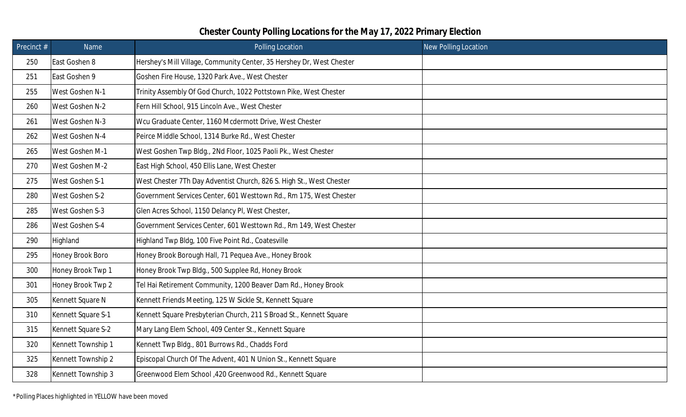| Precinct # | Name               | Polling Location                                                      | <b>New Polling Location</b> |
|------------|--------------------|-----------------------------------------------------------------------|-----------------------------|
| 250        | East Goshen 8      | Hershey's Mill Village, Community Center, 35 Hershey Dr, West Chester |                             |
| 251        | East Goshen 9      | Goshen Fire House, 1320 Park Ave., West Chester                       |                             |
| 255        | West Goshen N-1    | Trinity Assembly Of God Church, 1022 Pottstown Pike, West Chester     |                             |
| 260        | West Goshen N-2    | Fern Hill School, 915 Lincoln Ave., West Chester                      |                             |
| 261        | West Goshen N-3    | Wcu Graduate Center, 1160 Mcdermott Drive, West Chester               |                             |
| 262        | West Goshen N-4    | Peirce Middle School, 1314 Burke Rd., West Chester                    |                             |
| 265        | West Goshen M-1    | West Goshen Twp Bldg., 2Nd Floor, 1025 Paoli Pk., West Chester        |                             |
| 270        | West Goshen M-2    | East High School, 450 Ellis Lane, West Chester                        |                             |
| 275        | West Goshen S-1    | West Chester 7Th Day Adventist Church, 826 S. High St., West Chester  |                             |
| 280        | West Goshen S-2    | Government Services Center, 601 Westtown Rd., Rm 175, West Chester    |                             |
| 285        | West Goshen S-3    | Glen Acres School, 1150 Delancy PI, West Chester,                     |                             |
| 286        | West Goshen S-4    | Government Services Center, 601 Westtown Rd., Rm 149, West Chester    |                             |
| 290        | Highland           | Highland Twp Bldg, 100 Five Point Rd., Coatesville                    |                             |
| 295        | Honey Brook Boro   | Honey Brook Borough Hall, 71 Pequea Ave., Honey Brook                 |                             |
| 300        | Honey Brook Twp 1  | Honey Brook Twp Bldg., 500 Supplee Rd, Honey Brook                    |                             |
| 301        | Honey Brook Twp 2  | Tel Hai Retirement Community, 1200 Beaver Dam Rd., Honey Brook        |                             |
| 305        | Kennett Square N   | Kennett Friends Meeting, 125 W Sickle St, Kennett Square              |                             |
| 310        | Kennett Square S-1 | Kennett Square Presbyterian Church, 211 S Broad St., Kennett Square   |                             |
| 315        | Kennett Square S-2 | Mary Lang Elem School, 409 Center St., Kennett Square                 |                             |
| 320        | Kennett Township 1 | Kennett Twp Bldg., 801 Burrows Rd., Chadds Ford                       |                             |
| 325        | Kennett Township 2 | Episcopal Church Of The Advent, 401 N Union St., Kennett Square       |                             |
| 328        | Kennett Township 3 | Greenwood Elem School , 420 Greenwood Rd., Kennett Square             |                             |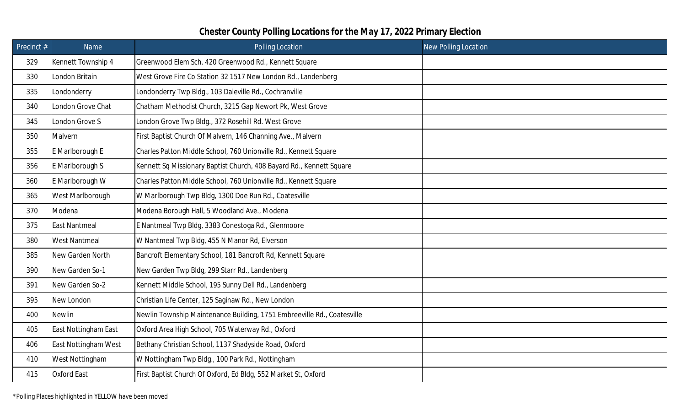| Precinct $#$ | Name                 | Polling Location                                                        | <b>New Polling Location</b> |
|--------------|----------------------|-------------------------------------------------------------------------|-----------------------------|
| 329          | Kennett Township 4   | Greenwood Elem Sch. 420 Greenwood Rd., Kennett Square                   |                             |
| 330          | London Britain       | West Grove Fire Co Station 32 1517 New London Rd., Landenberg           |                             |
| 335          | Londonderry          | Londonderry Twp Bldg., 103 Daleville Rd., Cochranville                  |                             |
| 340          | London Grove Chat    | Chatham Methodist Church, 3215 Gap Newort Pk, West Grove                |                             |
| 345          | London Grove S       | London Grove Twp Bldg., 372 Rosehill Rd. West Grove                     |                             |
| 350          | Malvern              | First Baptist Church Of Malvern, 146 Channing Ave., Malvern             |                             |
| 355          | E Marlborough E      | Charles Patton Middle School, 760 Unionville Rd., Kennett Square        |                             |
| 356          | E Marlborough S      | Kennett Sq Missionary Baptist Church, 408 Bayard Rd., Kennett Square    |                             |
| 360          | E Marlborough W      | Charles Patton Middle School, 760 Unionville Rd., Kennett Square        |                             |
| 365          | West Marlborough     | W Marlborough Twp Bldg, 1300 Doe Run Rd., Coatesville                   |                             |
| 370          | Modena               | Modena Borough Hall, 5 Woodland Ave., Modena                            |                             |
| 375          | <b>East Nantmeal</b> | E Nantmeal Twp Bldg, 3383 Conestoga Rd., Glenmoore                      |                             |
| 380          | <b>West Nantmeal</b> | W Nantmeal Twp Bldg, 455 N Manor Rd, Elverson                           |                             |
| 385          | New Garden North     | Bancroft Elementary School, 181 Bancroft Rd, Kennett Square             |                             |
| 390          | New Garden So-1      | New Garden Twp Bldg, 299 Starr Rd., Landenberg                          |                             |
| 391          | New Garden So-2      | Kennett Middle School, 195 Sunny Dell Rd., Landenberg                   |                             |
| 395          | New London           | Christian Life Center, 125 Saginaw Rd., New London                      |                             |
| 400          | <b>Newlin</b>        | Newlin Township Maintenance Building, 1751 Embreeville Rd., Coatesville |                             |
| 405          | East Nottingham East | Oxford Area High School, 705 Waterway Rd., Oxford                       |                             |
| 406          | East Nottingham West | Bethany Christian School, 1137 Shadyside Road, Oxford                   |                             |
| 410          | West Nottingham      | W Nottingham Twp Bldg., 100 Park Rd., Nottingham                        |                             |
| 415          | <b>Oxford East</b>   | First Baptist Church Of Oxford, Ed Bldg, 552 Market St, Oxford          |                             |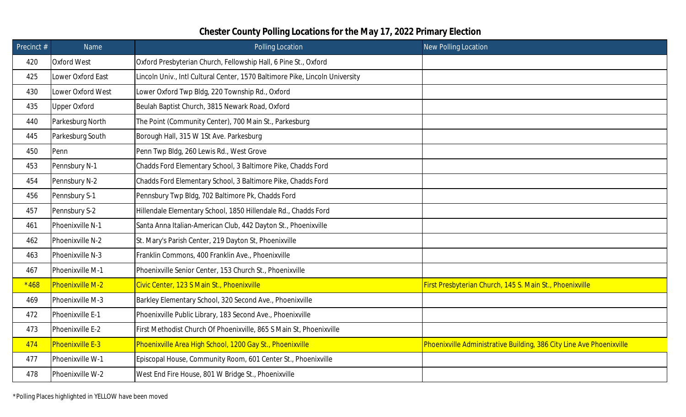| Precinct # | Name                    | Polling Location                                                             | <b>New Polling Location</b>                                          |
|------------|-------------------------|------------------------------------------------------------------------------|----------------------------------------------------------------------|
| 420        | <b>Oxford West</b>      | Oxford Presbyterian Church, Fellowship Hall, 6 Pine St., Oxford              |                                                                      |
| 425        | Lower Oxford East       | Lincoln Univ., Intl Cultural Center, 1570 Baltimore Pike, Lincoln University |                                                                      |
| 430        | Lower Oxford West       | Lower Oxford Twp Bldg, 220 Township Rd., Oxford                              |                                                                      |
| 435        | <b>Upper Oxford</b>     | Beulah Baptist Church, 3815 Newark Road, Oxford                              |                                                                      |
| 440        | Parkesburg North        | The Point (Community Center), 700 Main St., Parkesburg                       |                                                                      |
| 445        | Parkesburg South        | Borough Hall, 315 W 1St Ave. Parkesburg                                      |                                                                      |
| 450        | Penn                    | Penn Twp Bldg, 260 Lewis Rd., West Grove                                     |                                                                      |
| 453        | Pennsbury N-1           | Chadds Ford Elementary School, 3 Baltimore Pike, Chadds Ford                 |                                                                      |
| 454        | Pennsbury N-2           | Chadds Ford Elementary School, 3 Baltimore Pike, Chadds Ford                 |                                                                      |
| 456        | Pennsbury S-1           | Pennsbury Twp Bldg, 702 Baltimore Pk, Chadds Ford                            |                                                                      |
| 457        | Pennsbury S-2           | Hillendale Elementary School, 1850 Hillendale Rd., Chadds Ford               |                                                                      |
| 461        | Phoenixville N-1        | Santa Anna Italian-American Club, 442 Dayton St., Phoenixville               |                                                                      |
| 462        | Phoenixville N-2        | St. Mary's Parish Center, 219 Dayton St, Phoenixville                        |                                                                      |
| 463        | Phoenixville N-3        | Franklin Commons, 400 Franklin Ave., Phoenixville                            |                                                                      |
| 467        | Phoenixville M-1        | Phoenixville Senior Center, 153 Church St., Phoenixville                     |                                                                      |
| $*468$     | Phoenixville M-2        | Civic Center, 123 S Main St., Phoenixville                                   | First Presbyterian Church, 145 S. Main St., Phoenixville             |
| 469        | Phoenixville M-3        | Barkley Elementary School, 320 Second Ave., Phoenixville                     |                                                                      |
| 472        | Phoenixville E-1        | Phoenixville Public Library, 183 Second Ave., Phoenixville                   |                                                                      |
| 473        | Phoenixville E-2        | First Methodist Church Of Phoenixville, 865 S Main St, Phoenixville          |                                                                      |
| 474        | <b>Phoenixville E-3</b> | Phoenixville Area High School, 1200 Gay St., Phoenixville                    | Phoenixville Administrative Building, 386 City Line Ave Phoenixville |
| 477        | Phoenixville W-1        | Episcopal House, Community Room, 601 Center St., Phoenixville                |                                                                      |
| 478        | Phoenixville W-2        | West End Fire House, 801 W Bridge St., Phoenixville                          |                                                                      |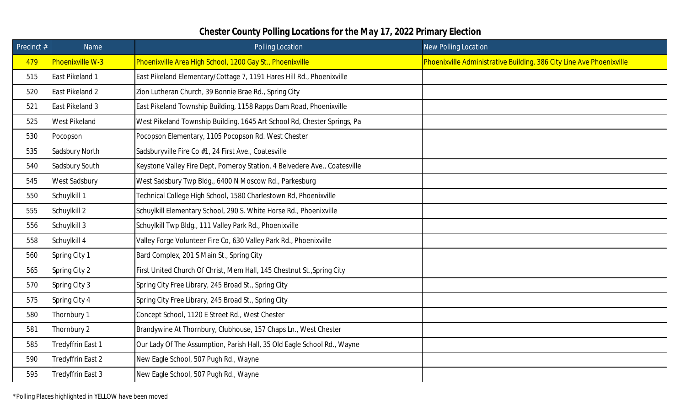| Precinct # | Name                 | Polling Location                                                          | New Polling Location                                                 |
|------------|----------------------|---------------------------------------------------------------------------|----------------------------------------------------------------------|
| 479        | Phoenixville W-3     | Phoenixville Area High School, 1200 Gay St., Phoenixville                 | Phoenixville Administrative Building, 386 City Line Ave Phoenixville |
| 515        | East Pikeland 1      | East Pikeland Elementary/Cottage 7, 1191 Hares Hill Rd., Phoenixville     |                                                                      |
| 520        | East Pikeland 2      | Zion Lutheran Church, 39 Bonnie Brae Rd., Spring City                     |                                                                      |
| 521        | East Pikeland 3      | East Pikeland Township Building, 1158 Rapps Dam Road, Phoenixville        |                                                                      |
| 525        | <b>West Pikeland</b> | West Pikeland Township Building, 1645 Art School Rd, Chester Springs, Pa  |                                                                      |
| 530        | Pocopson             | Pocopson Elementary, 1105 Pocopson Rd. West Chester                       |                                                                      |
| 535        | Sadsbury North       | Sadsburyville Fire Co #1, 24 First Ave., Coatesville                      |                                                                      |
| 540        | Sadsbury South       | Keystone Valley Fire Dept, Pomeroy Station, 4 Belvedere Ave., Coatesville |                                                                      |
| 545        | West Sadsbury        | West Sadsbury Twp Bldg., 6400 N Moscow Rd., Parkesburg                    |                                                                      |
| 550        | Schuylkill 1         | Technical College High School, 1580 Charlestown Rd, Phoenixville          |                                                                      |
| 555        | Schuylkill 2         | Schuylkill Elementary School, 290 S. White Horse Rd., Phoenixville        |                                                                      |
| 556        | Schuylkill 3         | Schuylkill Twp Bldg., 111 Valley Park Rd., Phoenixville                   |                                                                      |
| 558        | Schuylkill 4         | Valley Forge Volunteer Fire Co, 630 Valley Park Rd., Phoenixville         |                                                                      |
| 560        | Spring City 1        | Bard Complex, 201 S Main St., Spring City                                 |                                                                      |
| 565        | Spring City 2        | First United Church Of Christ, Mem Hall, 145 Chestnut St., Spring City    |                                                                      |
| 570        | Spring City 3        | Spring City Free Library, 245 Broad St., Spring City                      |                                                                      |
| 575        | Spring City 4        | Spring City Free Library, 245 Broad St., Spring City                      |                                                                      |
| 580        | Thornbury 1          | Concept School, 1120 E Street Rd., West Chester                           |                                                                      |
| 581        | Thornbury 2          | Brandywine At Thornbury, Clubhouse, 157 Chaps Ln., West Chester           |                                                                      |
| 585        | Tredyffrin East 1    | Our Lady Of The Assumption, Parish Hall, 35 Old Eagle School Rd., Wayne   |                                                                      |
| 590        | Tredyffrin East 2    | New Eagle School, 507 Pugh Rd., Wayne                                     |                                                                      |
| 595        | Tredyffrin East 3    | New Eagle School, 507 Pugh Rd., Wayne                                     |                                                                      |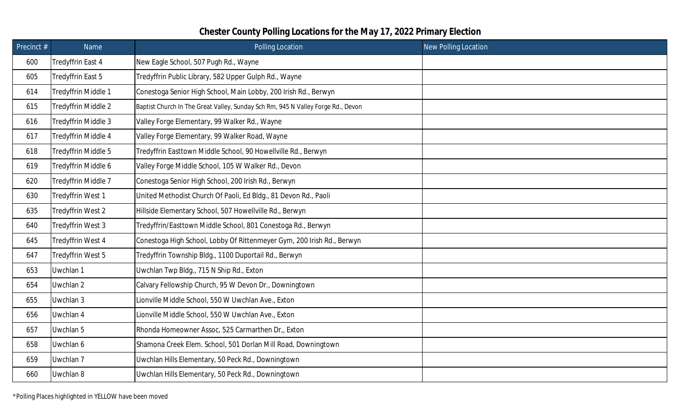| Precinct # | Name                | Polling Location                                                                 | <b>New Polling Location</b> |
|------------|---------------------|----------------------------------------------------------------------------------|-----------------------------|
| 600        | Tredyffrin East 4   | New Eagle School, 507 Pugh Rd., Wayne                                            |                             |
| 605        | Tredyffrin East 5   | Tredyffrin Public Library, 582 Upper Gulph Rd., Wayne                            |                             |
| 614        | Tredyffrin Middle 1 | Conestoga Senior High School, Main Lobby, 200 Irish Rd., Berwyn                  |                             |
| 615        | Tredyffrin Middle 2 | Baptist Church In The Great Valley, Sunday Sch Rm, 945 N Valley Forge Rd., Devon |                             |
| 616        | Tredyffrin Middle 3 | Valley Forge Elementary, 99 Walker Rd., Wayne                                    |                             |
| 617        | Tredyffrin Middle 4 | Valley Forge Elementary, 99 Walker Road, Wayne                                   |                             |
| 618        | Tredyffrin Middle 5 | Tredyffrin Easttown Middle School, 90 Howellville Rd., Berwyn                    |                             |
| 619        | Tredyffrin Middle 6 | Valley Forge Middle School, 105 W Walker Rd., Devon                              |                             |
| 620        | Tredyffrin Middle 7 | Conestoga Senior High School, 200 Irish Rd., Berwyn                              |                             |
| 630        | Tredyffrin West 1   | United Methodist Church Of Paoli, Ed Bldg., 81 Devon Rd., Paoli                  |                             |
| 635        | Tredyffrin West 2   | Hillside Elementary School, 507 Howellville Rd., Berwyn                          |                             |
| 640        | Tredyffrin West 3   | Tredyffrin/Easttown Middle School, 801 Conestoga Rd., Berwyn                     |                             |
| 645        | Tredyffrin West 4   | Conestoga High School, Lobby Of Rittenmeyer Gym, 200 Irish Rd., Berwyn           |                             |
| 647        | Tredyffrin West 5   | Tredyffrin Township Bldg., 1100 Duportail Rd., Berwyn                            |                             |
| 653        | Uwchlan 1           | Uwchlan Twp Bldg., 715 N Ship Rd., Exton                                         |                             |
| 654        | Uwchlan 2           | Calvary Fellowship Church, 95 W Devon Dr., Downingtown                           |                             |
| 655        | Uwchlan 3           | Lionville Middle School, 550 W Uwchlan Ave., Exton                               |                             |
| 656        | Uwchlan 4           | Lionville Middle School, 550 W Uwchlan Ave., Exton                               |                             |
| 657        | Uwchlan 5           | Rhonda Homeowner Assoc, 525 Carmarthen Dr., Exton                                |                             |
| 658        | Uwchlan 6           | Shamona Creek Elem. School, 501 Dorlan Mill Road, Downingtown                    |                             |
| 659        | Uwchlan 7           | Uwchlan Hills Elementary, 50 Peck Rd., Downingtown                               |                             |
| 660        | Uwchlan 8           | Uwchlan Hills Elementary, 50 Peck Rd., Downingtown                               |                             |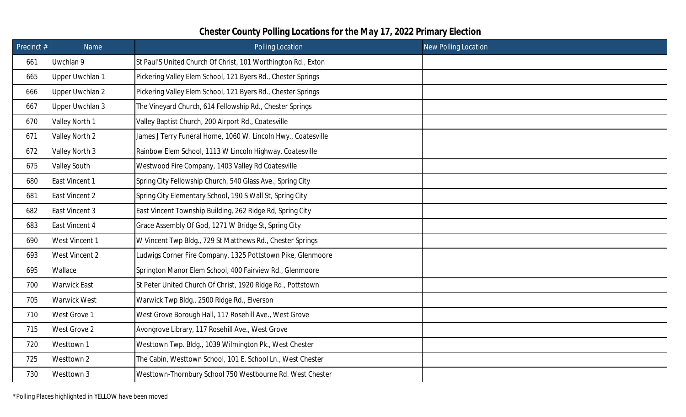| Precinct # | Name                | Polling Location                                              | <b>New Polling Location</b> |
|------------|---------------------|---------------------------------------------------------------|-----------------------------|
| 661        | Uwchlan 9           | St Paul'S United Church Of Christ, 101 Worthington Rd., Exton |                             |
| 665        | Upper Uwchlan 1     | Pickering Valley Elem School, 121 Byers Rd., Chester Springs  |                             |
| 666        | Upper Uwchlan 2     | Pickering Valley Elem School, 121 Byers Rd., Chester Springs  |                             |
| 667        | Upper Uwchlan 3     | The Vineyard Church, 614 Fellowship Rd., Chester Springs      |                             |
| 670        | Valley North 1      | Valley Baptist Church, 200 Airport Rd., Coatesville           |                             |
| 671        | Valley North 2      | James J Terry Funeral Home, 1060 W. Lincoln Hwy., Coatesville |                             |
| 672        | Valley North 3      | Rainbow Elem School, 1113 W Lincoln Highway, Coatesville      |                             |
| 675        | <b>Valley South</b> | Westwood Fire Company, 1403 Valley Rd Coatesville             |                             |
| 680        | East Vincent 1      | Spring City Fellowship Church, 540 Glass Ave., Spring City    |                             |
| 681        | East Vincent 2      | Spring City Elementary School, 190 S Wall St, Spring City     |                             |
| 682        | East Vincent 3      | East Vincent Township Building, 262 Ridge Rd, Spring City     |                             |
| 683        | East Vincent 4      | Grace Assembly Of God, 1271 W Bridge St, Spring City          |                             |
| 690        | West Vincent 1      | W Vincent Twp Bldg., 729 St Matthews Rd., Chester Springs     |                             |
| 693        | West Vincent 2      | Ludwigs Corner Fire Company, 1325 Pottstown Pike, Glenmoore   |                             |
| 695        | Wallace             | Springton Manor Elem School, 400 Fairview Rd., Glenmoore      |                             |
| 700        | <b>Warwick East</b> | St Peter United Church Of Christ, 1920 Ridge Rd., Pottstown   |                             |
| 705        | <b>Warwick West</b> | Warwick Twp Bldg., 2500 Ridge Rd., Elverson                   |                             |
| 710        | West Grove 1        | West Grove Borough Hall, 117 Rosehill Ave., West Grove        |                             |
| 715        | West Grove 2        | Avongrove Library, 117 Rosehill Ave., West Grove              |                             |
| 720        | Westtown 1          | Westtown Twp. Bldg., 1039 Wilmington Pk., West Chester        |                             |
| 725        | Westtown 2          | The Cabin, Westtown School, 101 E. School Ln., West Chester   |                             |
| 730        | Westtown 3          | Westtown-Thornbury School 750 Westbourne Rd. West Chester     |                             |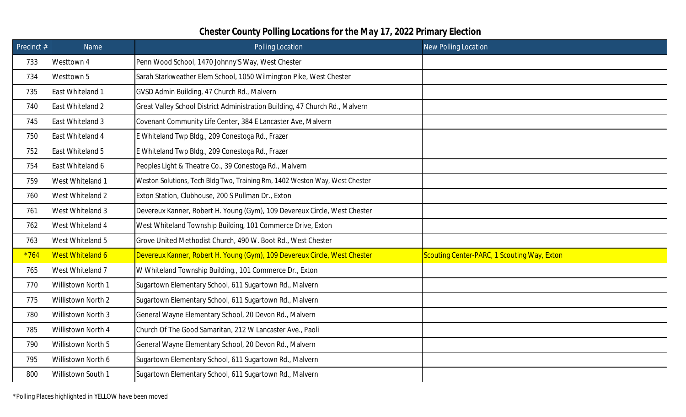| Precinct # | Name               | Polling Location                                                             | <b>New Polling Location</b>                 |
|------------|--------------------|------------------------------------------------------------------------------|---------------------------------------------|
| 733        | Westtown 4         | Penn Wood School, 1470 Johnny'S Way, West Chester                            |                                             |
| 734        | Westtown 5         | Sarah Starkweather Elem School, 1050 Wilmington Pike, West Chester           |                                             |
| 735        | East Whiteland 1   | GVSD Admin Building, 47 Church Rd., Malvern                                  |                                             |
| 740        | East Whiteland 2   | Great Valley School District Administration Building, 47 Church Rd., Malvern |                                             |
| 745        | East Whiteland 3   | Covenant Community Life Center, 384 E Lancaster Ave, Malvern                 |                                             |
| 750        | East Whiteland 4   | E Whiteland Twp Bldg., 209 Conestoga Rd., Frazer                             |                                             |
| 752        | East Whiteland 5   | E Whiteland Twp Bldg., 209 Conestoga Rd., Frazer                             |                                             |
| 754        | East Whiteland 6   | Peoples Light & Theatre Co., 39 Conestoga Rd., Malvern                       |                                             |
| 759        | West Whiteland 1   | Weston Solutions, Tech Bldg Two, Training Rm, 1402 Weston Way, West Chester  |                                             |
| 760        | West Whiteland 2   | Exton Station, Clubhouse, 200 S Pullman Dr., Exton                           |                                             |
| 761        | West Whiteland 3   | Devereux Kanner, Robert H. Young (Gym), 109 Devereux Circle, West Chester    |                                             |
| 762        | West Whiteland 4   | West Whiteland Township Building, 101 Commerce Drive, Exton                  |                                             |
| 763        | West Whiteland 5   | Grove United Methodist Church, 490 W. Boot Rd., West Chester                 |                                             |
| $*764$     | West Whiteland 6   | Devereux Kanner, Robert H. Young (Gym), 109 Devereux Circle, West Chester    | Scouting Center-PARC, 1 Scouting Way, Exton |
| 765        | West Whiteland 7   | W Whiteland Township Building., 101 Commerce Dr., Exton                      |                                             |
| 770        | Willistown North 1 | Sugartown Elementary School, 611 Sugartown Rd., Malvern                      |                                             |
| 775        | Willistown North 2 | Sugartown Elementary School, 611 Sugartown Rd., Malvern                      |                                             |
| 780        | Willistown North 3 | General Wayne Elementary School, 20 Devon Rd., Malvern                       |                                             |
| 785        | Willistown North 4 | Church Of The Good Samaritan, 212 W Lancaster Ave., Paoli                    |                                             |
| 790        | Willistown North 5 | General Wayne Elementary School, 20 Devon Rd., Malvern                       |                                             |
| 795        | Willistown North 6 | Sugartown Elementary School, 611 Sugartown Rd., Malvern                      |                                             |
| 800        | Willistown South 1 | Sugartown Elementary School, 611 Sugartown Rd., Malvern                      |                                             |